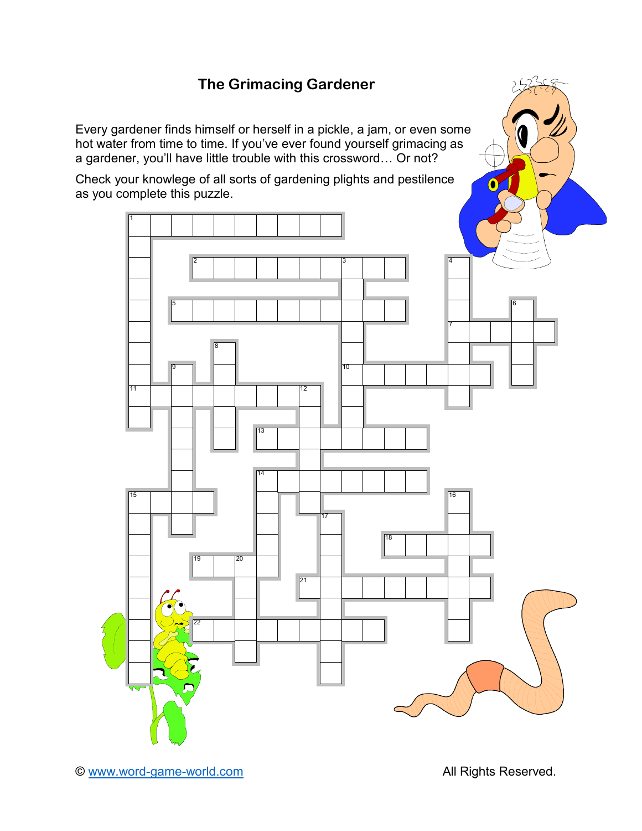## **The Grimacing Gardener**

Every gardener finds himself or herself in a pickle, a jam, or even some hot water from time to time. If you've ever found yourself grimacing as a gardener, you'll have little trouble with this crossword… Or not?

Check your knowlege of all sorts of gardening plights and pestilence as you complete this puzzle.

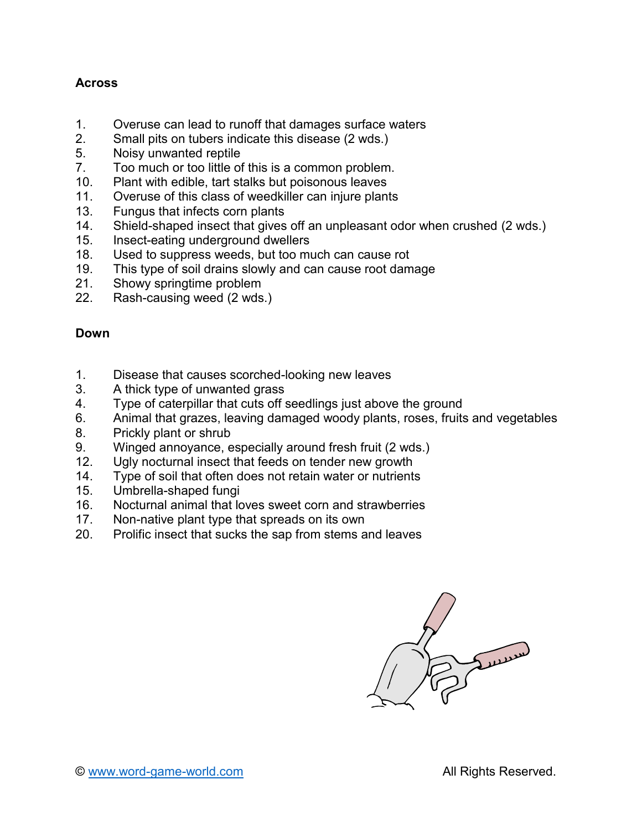## **Across**

- 1. Overuse can lead to runoff that damages surface waters<br>2. Small pits on tubers indicate this disease (2 wds.)
- Small pits on tubers indicate this disease (2 wds.)
- 5. Noisy unwanted reptile
- 7. Too much or too little of this is a common problem.
- 10. Plant with edible, tart stalks but poisonous leaves
- 11. Overuse of this class of weedkiller can injure plants
- 13. Fungus that infects corn plants
- 14. Shield-shaped insect that gives off an unpleasant odor when crushed (2 wds.)<br>15. Insect-eating underground dwellers
- Insect-eating underground dwellers
- 18. Used to suppress weeds, but too much can cause rot
- 19. This type of soil drains slowly and can cause root damage
- 21. Showy springtime problem
- 22. Rash-causing weed (2 wds.)

## **Down**

- 1. Disease that causes scorched-looking new leaves
- 3. A thick type of unwanted grass
- 4. Type of caterpillar that cuts off seedlings just above the ground
- 6. Animal that grazes, leaving damaged woody plants, roses, fruits and vegetables
- 8. Prickly plant or shrub
- 9. Winged annoyance, especially around fresh fruit (2 wds.)
- 12. Ugly nocturnal insect that feeds on tender new growth
- 14. Type of soil that often does not retain water or nutrients
- 15. Umbrella-shaped fungi
- 16. Nocturnal animal that loves sweet corn and strawberries
- 17. Non-native plant type that spreads on its own
- 20. Prolific insect that sucks the sap from stems and leaves